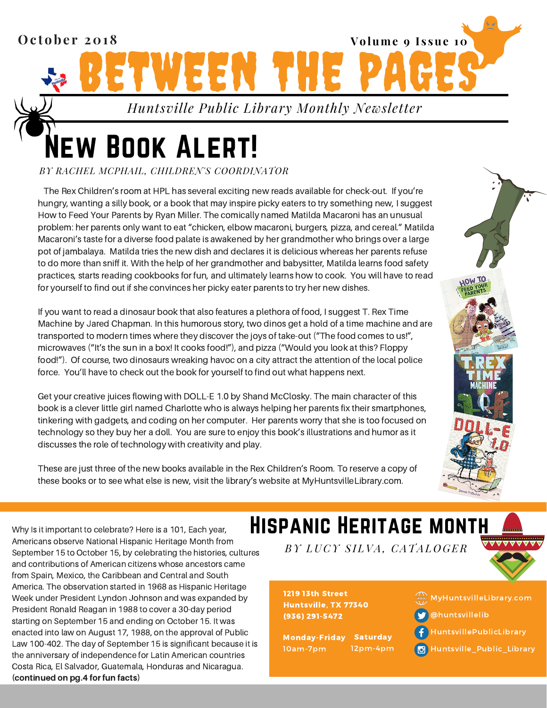

# **IEW BOOK ALERT!**

*BY RACHEL MCPHAIL, CHILDREN'S COORDINATOR*

The Rex Children's room at HPL has several exciting new reads available for check-out. If you're hungry, wanting a silly book, or a book that may inspire picky eaters to try something new, I suggest How to Feed Your Parents by Ryan Miller. The comically named Matilda Macaroni has an unusual problem: her parents only want to eat "chicken, elbow macaroni, burgers, pizza, and cereal." Matilda Macaroni's taste for a diverse food palate is awakened by her grandmother who brings over a large pot of jambalaya. Matilda tries the new dish and declares it is delicious whereas her parents refuse to do more than sniff it. With the help of her grandmother and babysitter, Matilda learns food safety practices, starts reading cookbooks for fun, and ultimately learns how to cook. You will have to read for yourself to find out if she convinces her picky eater parents to try her new dishes.

If you want to read a dinosaur book that also features a plethora of food, I suggest T. Rex Time Machine by Jared Chapman. In this humorous story, two dinos get a hold of a time machine and are transported to modern times where they discover the joys of take-out ("The food comes to us!", microwaves ("It's the sun in a box! It cooks food!"), and pizza ("Would you look at this? Floppy food!"). Of course, two dinosaurs wreaking havoc on a city attract the attention of the local police force. You'll have to check out the book for yourself to find out what happens next.

Get your creative juices flowing with DOLL-E 1.0 by Shand McClosky. The main character of this book is a clever little girl named Charlotte who is always helping her parents fix their smartphones, tinkering with gadgets, and coding on her computer. Her parents worry that she is too focused on technology so they buy her a doll. You are sure to enjoy this book's illustrations and humor as it discusses the role of technology with creativity and play.

These are just three of the new books available in the Rex Children's Room. To reserve a copy of these books or to see what else is new, visit the library's website at MyHuntsvilleLibrary.com.

Why Is it important to celebrate? Here is a 101, Each year, Americans observe National Hispanic Heritage Month from September 15 to October 15, by celebrating the histories, cultures and contributions of American citizens whose ancestors came from Spain, Mexico, the Caribbean and Central and South America. The observation started in 1968 as Hispanic Heritage Week under President Lyndon Johnson and was expanded by President Ronald Reagan in 1988 to cover a 30-day period starting on September 15 and ending on October 15. It was enacted into law on August 17, 1988, on the approval of Public Law 100-402. The day of September 15 is significant because it is the anniversary of independence for Latin American countries Costa Rica, El Salvador, Guatemala, Honduras and Nicaragua. (continued on pg.4 for fun facts)

### Hispanic Heritage month

*BY LUCY S I LVA, CATAL O G ER*

1219 13th Street Huntsville, TX 77340 (936) 291-5472

Monday-Friday 10am-7pm **Saturday** 12pm-4pm



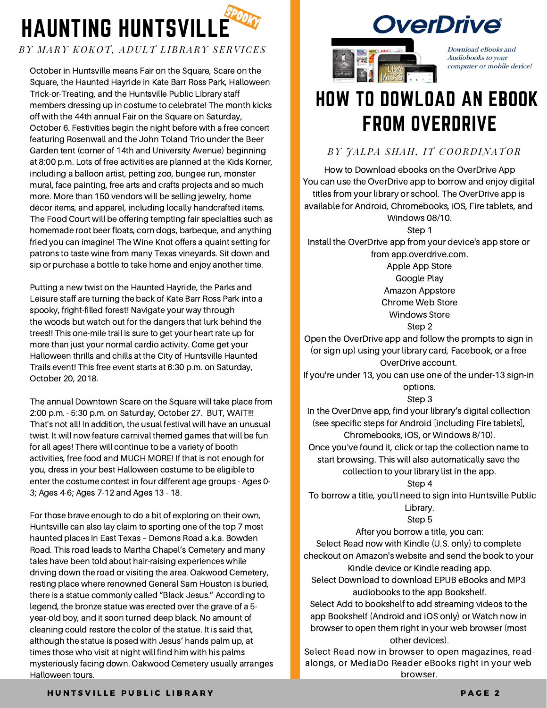

#### *BY M ARY K O K O T, A D ULT L IBRARY SERVICES*

October in Huntsville means Fair on the Square, Scare on the Square, the Haunted Hayride in Kate Barr Ross Park, Halloween Trick-or-Treating, and the Huntsville Public Library staff members dressing up in costume to celebrate! The month kicks off with the 44th annual Fair on the Square on Saturday, October 6. Festivities begin the night before with a free concert featuring Rosenwall and the John Toland Trio under the Beer Garden tent (corner of 14th and University Avenue) beginning at 8:00 p.m. Lots of free activities are planned at the Kids Korner, including a balloon artist, petting zoo, bungee run, monster mural, face painting, free arts and crafts projects and so much more. More than 150 vendors will be selling jewelry, home décor items, and apparel, including locally handcrafted items. The Food Court will be offering tempting fair specialties such as homemade root beer floats, corn dogs, barbeque, and anything fried you can imagine! The Wine Knot offers a quaint setting for patrons to taste wine from many Texas vineyards. Sit down and sip or purchase a bottle to take home and enjoy another time.

Putting a new twist on the Haunted Hayride, the Parks and Leisure staff are turning the back of Kate Barr Ross Park into a spooky, fright-filled forest! Navigate your way through the woods but watch out for the dangers that lurk behind the trees!! This one-mile trail is sure to get your heart rate up for more than just your normal cardio activity. Come get your Halloween thrills and chills at the City of Huntsville Haunted Trails event! This free event starts at 6:30 p.m. on Saturday, October 20, 2018.

The annual Downtown Scare on the Square will take place from 2:00 p.m. - 5:30 p.m. on Saturday, October 27. BUT, WAIT!!! That's not all! In addition, the usual festival will have an unusual twist. It will now feature carnival themed games that will be fun for all ages! There will continue to be a variety of booth activities, free food and MUCH MORE! If that is not enough for you, dress in your best Halloween costume to be eligible to enter the costume contest in four different age groups - Ages 0- 3; Ages 4-6; Ages 7-12 and Ages 13 - 18.

For those brave enough to do a bit of exploring on their own, Huntsville can also lay claim to sporting one of the top 7 most haunted places in East Texas – Demons Road a.k.a. Bowden Road. This road leads to Martha Chapel's Cemetery and many tales have been told about hair-raising experiences while driving down the road or visiting the area. Oakwood Cemetery, resting place where renowned General Sam Houston is buried, there is a statue commonly called "Black Jesus." According to legend, the bronze statue was erected over the grave of a 5 year-old boy, and it soon turned deep black. No amount of cleaning could restore the color of the statue. It is said that, although the statue is posed with Jesus' hands palm up, at times those who visit at night will find him with his palms mysteriously facing down. Oakwood Cemetery usually arranges Halloween tours.





Download eBooks and Audiobooks to your computer or mobile device!

## HOW TO DOWLOAD AN EBOOK FROM OVERDRIVE

*BY JAL PA SHAH, IT C O O R D INAT O R*

How to Download ebooks on the OverDrive App You can use the OverDrive app to borrow and enjoy digital titles from your library or school. The OverDrive app is available for Android, Chromebooks, iOS, Fire tablets, and Windows 08/10. Step 1

Install the OverDrive app from your device's app store or from app.overdrive.com.

> Apple App Store Google Play Amazon Appstore Chrome Web Store

Windows Store

Step 2 Open the OverDrive app and follow the prompts to sign in (or sign up) using your library card, Facebook, or a free OverDrive account.

If you're under 13, you can use one of the under-13 sign-in options.

Step 3

In the OverDrive app, find your library's digital collection (see specific steps for Android [including Fire tablets], Chromebooks, iOS, or Windows 8/10). Once you've found it, click or tap the collection name to

start browsing. This will also automatically save the collection to your library list in the app.

Step 4

To borrow a title, you'll need to sign into Huntsville Public Library.

Step 5

After you borrow a title, you can: Select Read now with Kindle (U.S. only) to complete checkout on Amazon's website and send the book to your Kindle device or Kindle reading app.

Select Download to download EPUB eBooks and MP3 audiobooks to the app Bookshelf.

Select Add to bookshelf to add streaming videos to the app Bookshelf (Android and iOS only) or Watch now in browser to open them right in your web browser (most other devices).

Select Read now in browser to open magazines, readalongs, or MediaDo Reader eBooks right in your web browser.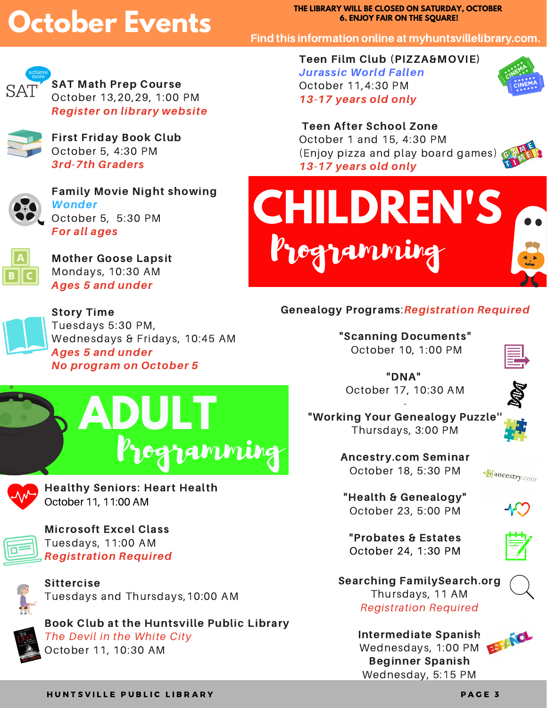## **October Events**

**THE LIBRARY WILL BE CLOSED ON SATURDAY, OCTOBER 6. ENJOY FAIR ON THE SQUARE!**

Find this information online at myhuntsvillelibrary.com.



SAT Math Prep Course October 13,20,29, 1:00 PM Register on library website



First Friday Book Club October 5, 4:30 PM 3rd-7th Graders



Family Movie Night showing Wonder October 5, 5:30 PM For all ages



Mother Goose Lapsit Mondays, 10:30 AM Ages 5 and under



Story Time Tuesdays 5:30 PM, Wednesdays & Fridays, 10:45 AM Ages 5 and under No program on October 5





Healthy Seniors: Heart Health October 11, 11:00 AM



Microsoft Excel Class Tuesdays, 11:00 AM Registration Required



Sittercise Tuesdays and Thursdays,10:00 AM

Book Club at the Huntsville Public Library The Devil in the White City October 11, 10:30 AM

Teen Film Club (PIZZA&MOVIE) Jurassic World Fallen October 11,4:30 PM 13-17 years old only



### Teen After School Zone

October 1 and 15, 4:30 PM (Enjoy pizza and play board games) 13-17 years old only



### Genealogy Programs:Registration Required

"Scanning Documents" October 10, 1:00 PM



"DNA" October 17, 10:30 AM



"Working Your Genealogy Puzzle'' Thursdays, 3:00 PM

-



Ancestry.com Seminar October 18, 5:30 PM



"Health & Genealogy" October 23, 5:00 PM



"Probates & Estates October 24, 1:30 PM



Searching FamilySearch.org Thursdays, 11 AM Registration Required

> Intermediate Spanish Wednesdays, 1:00 PM Beginner Spanish Wednesday, 5:15 PM